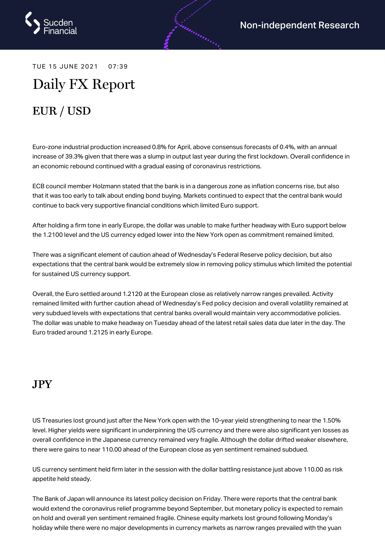

TUE 15 JUNE 2021 07:39

# Daily FX Report

## EUR / USD

Euro-zone industrial production increased 0.8% for April, above consensus forecasts of 0.4%, with an annual increase of 39.3% given that there was a slump in output last year during the first lockdown. Overall confidence in an economic rebound continued with a gradual easing of coronavirus restrictions.

ECB council member Holzmann stated that the bank is in a dangerous zone as inflation concerns rise, but also that it was too early to talk about ending bond buying. Markets continued to expect that the central bank would continue to back very supportive financial conditions which limited Euro support.

After holding a firm tone in early Europe, the dollar was unable to make further headway with Euro support below the 1.2100 level and the US currency edged lower into the New York open as commitment remained limited.

There was a significant element of caution ahead of Wednesday's Federal Reserve policy decision, but also expectations that the central bank would be extremely slow in removing policy stimulus which limited the potential for sustained US currency support.

Overall, the Euro settled around 1.2120 at the European close as relatively narrow ranges prevailed. Activity remained limited with further caution ahead of Wednesday's Fed policy decision and overall volatility remained at very subdued levels with expectations that central banks overall would maintain very accommodative policies. The dollar was unable to make headway on Tuesday ahead of the latest retail sales data due later in the day. The Euro traded around 1.2125 in early Europe.

#### JPY

US Treasuries lost ground just after the New York open with the 10-year yield strengthening to near the 1.50% level. Higher yields were significant in underpinning the US currency and there were also significant yen losses as overall confidence in the Japanese currency remained very fragile. Although the dollar drifted weaker elsewhere, there were gains to near 110.00 ahead of the European close as yen sentiment remained subdued.

US currency sentiment held firm later in the session with the dollar battling resistance just above 110.00 as risk appetite held steady.

The Bank of Japan will announce its latest policy decision on Friday. There were reports that the central bank would extend the coronavirus relief programme beyond September, but monetary policy is expected to remain on hold and overall yen sentiment remained fragile. Chinese equity markets lost ground following Monday's holiday while there were no major developments in currency markets as narrow ranges prevailed with the yuan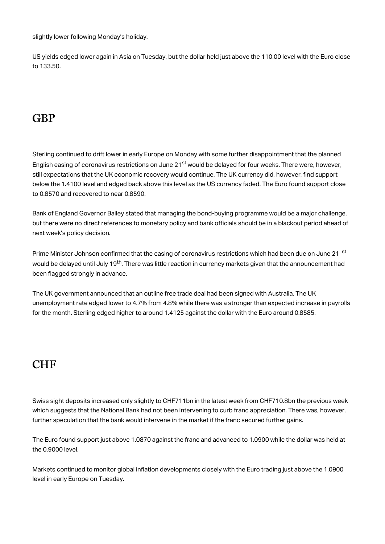slightly lower following Monday's holiday.

US yields edged lower again in Asia on Tuesday, but the dollar held just above the 110.00 level with the Euro close to 133.50.

#### **GBP**

Sterling continued to drift lower in early Europe on Monday with some further disappointment that the planned English easing of coronavirus restrictions on June 21<sup>st</sup> would be delayed for four weeks. There were, however, still expectations that the UK economic recovery would continue. The UK currency did, however, find support below the 1.4100 level and edged back above this level as the US currency faded. The Euro found support close to 0.8570 and recovered to near 0.8590.

Bank of England Governor Bailey stated that managing the bond-buying programme would be a major challenge, but there were no direct references to monetary policy and bank officials should be in a blackout period ahead of next week's policy decision.

Prime Minister Johnson confirmed that the easing of coronavirus restrictions which had been due on June 21  $\rm ^{st}$ would be delayed until July 19<sup>th</sup>. There was little reaction in currency markets given that the announcement had been flagged strongly in advance.

The UK government announced that an outline free trade deal had been signed with Australia. The UK unemployment rate edged lower to 4.7% from 4.8% while there was a stronger than expected increase in payrolls for the month. Sterling edged higher to around 1.4125 against the dollar with the Euro around 0.8585.

#### **CHF**

Swiss sight deposits increased only slightly to CHF711bn in the latest week from CHF710.8bn the previous week which suggests that the National Bank had not been intervening to curb franc appreciation. There was, however, further speculation that the bank would intervene in the market if the franc secured further gains.

The Euro found support just above 1.0870 against the franc and advanced to 1.0900 while the dollar was held at the 0.9000 level.

Markets continued to monitor global inflation developments closely with the Euro trading just above the 1.0900 level in early Europe on Tuesday.